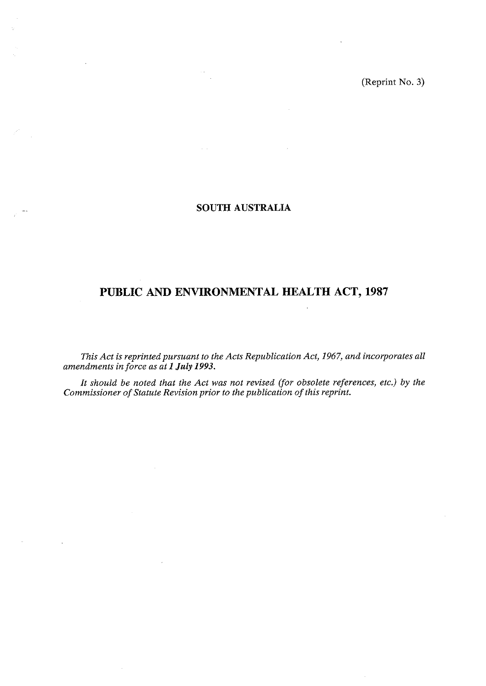# **SOUTH AUSTRALIA**

 $\sim$   $\sim$ 

 $\mathcal{L}$ 

 $\bar{\Delta}$ 

# **PUBLIC AND ENVIRONMENTAL HEALTH ACT, 1987**

 $\ddot{\phantom{a}}$ 

*This Act is reprinted pursuant to the Acts Republication Act, 1967, and incorporates all amendments in force as at I July 1993.* 

*It should be noted that the Act was not revised (for obsolete references, etc.) by the Commissioner of Statute Revision prior to the publication of this reprint.* 

 $\ddot{\phantom{a}}$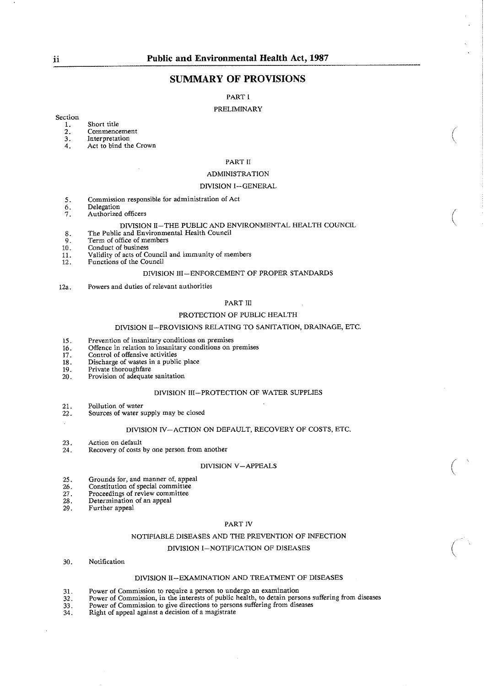## **SUMMARY OF PROVISIONS**

PART 1

#### PRELIMINARY

#### Section

8.

- 1. Short title
- 2. Commencement
- 3. lnterpretation
- 4. Act to bind the Crown

#### PART I1

#### ADMINISTRATION

#### DIVISION 1-GENERAL

- Commission responsible for administration of Act  $\epsilon$ .
- Delegation  $rac{6}{7}$
- Authorized officers

#### DIVISION II-THE PUBLIC AND ENVIRONMENTAL HEALTH COUNClL

- The Public and Environmental Health Council
- $\tilde{9}$ . Term of office of members
- $10<sub>1</sub>$ Conduct of business
- Validity of acts of Council and immunity of members 11.
- Functions of the Council  $12<sup>12</sup>$

#### DIVISION 111-ENFORCEMENT OF PROPER STANDARDS

 $12a$ . Powers and duties of relevant authorities

#### PART Ill

#### PROTECTION OF PUBLIC HEALTH

#### DlVISlON II-PROVISIONS RELATlNG TO SANITATION, DRAINAGE, ETC.

- Prevention of insanitary conditions on premises 15.
- Offence in relation to insanitary conditions on premises 16.
- $17.$ Control of offensive activities
- Discharge of wastes in a public place 18.
- Private thoroughfare  $19$
- Provision of adequate sanitation  $20.$

### DIVISION III-PROTECTION OF WATER SUPPLIES

- Pollution of water  $21.$
- Sources of water supply may be closed  $22$

#### DlVISlON IV-ACTION ON DEFAULT, RECOVERY OF COSTS, ETC.

- 23. Action on default
- Recovery of costs by one person from another 24.

#### DIVISION V-APPEALS

- $25.$ Grounds for, and manner of, appeal
- 26. Constitution of special committee
- 27. Proceedings of review committee
- 28. Determination of an appeal
- 29. Further appeal

#### PART 1V

#### NOTIFlABLE DISEASES AND THE PREVENTION OF INFECTION

#### DIVISION I-NOTIFICATION OF DISEASES

#### 30. Notification

#### DIVISION Il-EXAMINATION AND TREATMENT OF DISEASES

- Power of Commission to require a person to undergo an examination  $31.$
- Power of Commission, in the interests of public health, to detain persons suffering from diseases 32.
- Power of Commission to give directions to persons suffering from diseases 33.
- 34. Right of appeal against a decision of a magistrate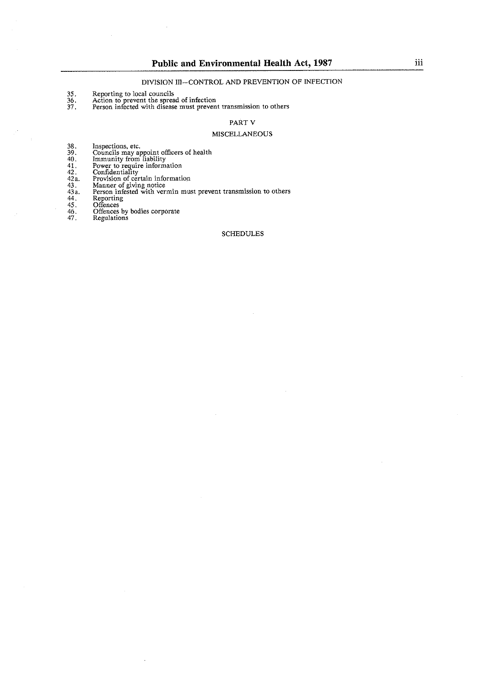### DIVlSION III-CONTROL AND PREVENTION OF INFECTION

- 
- 
- 35. Reporting to local councils *36.* Action to prevent the spread of infection 37. Person infected with disease must prevent transmission to others

### PART V

#### MISCELLANEOUS

Inspections, etc.<br>Councils may appoint officers of health<br>Immunity from liability

Power to require information<br>Confidentiality<br>Provision of certain information<br>Manner of giving notice<br>Person infested with vermin must prevent transmission to others

 $3890$ <br> $40442$ <br> $433$ <br> $443$ <br> $445$ <br> $46$ <br> $47$ Reporting

 $\bar{z}$ 

Offences Offences by bodies corporate Regulations

#### SCHEDULES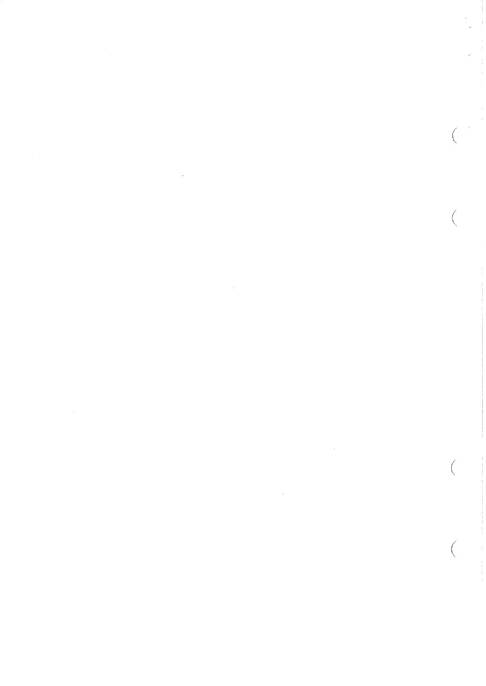$\label{eq:2.1} \mathcal{L}(\mathcal{L}^{\text{max}}_{\mathcal{L}}(\mathcal{L}^{\text{max}}_{\mathcal{L}}),\mathcal{L}^{\text{max}}_{\mathcal{L}}(\mathcal{L}^{\text{max}}_{\mathcal{L}}))$ 

 $\label{eq:2.1} \frac{1}{\sqrt{2}}\left(\frac{1}{\sqrt{2}}\right)^{2} \left(\frac{1}{\sqrt{2}}\right)^{2} \left(\frac{1}{\sqrt{2}}\right)^{2} \left(\frac{1}{\sqrt{2}}\right)^{2} \left(\frac{1}{\sqrt{2}}\right)^{2} \left(\frac{1}{\sqrt{2}}\right)^{2} \left(\frac{1}{\sqrt{2}}\right)^{2} \left(\frac{1}{\sqrt{2}}\right)^{2} \left(\frac{1}{\sqrt{2}}\right)^{2} \left(\frac{1}{\sqrt{2}}\right)^{2} \left(\frac{1}{\sqrt{2}}\right)^{2} \left(\$  $\label{eq:2.1} \mathcal{L}_{\mathcal{A}}(\mathcal{A}) = \mathcal{L}_{\mathcal{A}}(\mathcal{A}) = \mathcal{L}_{\mathcal{A}}(\mathcal{A})$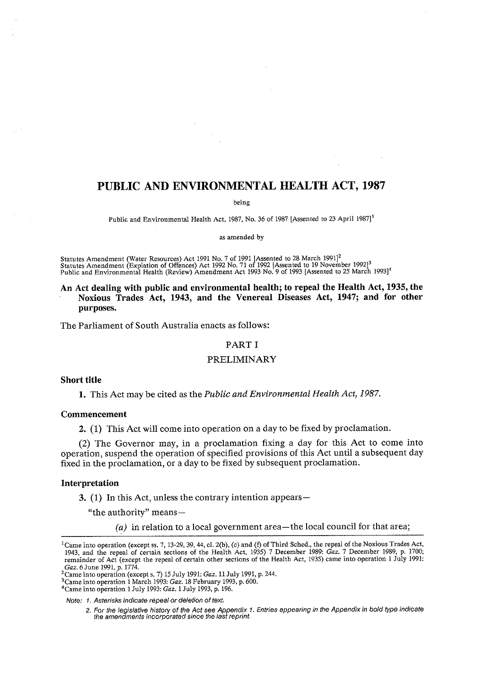# **PUBLIC AND ENVIRONMENTAL HEALTH ACT, 1987**

being

Public and Environmental Health Act, 1987, No. 36 of 1987 [Assented to 23 April 1987]<sup>1</sup>

as amended by

Statutes Amendment (Water Resources) Act 1991 No. 7 of 1991 [Assented to 28 March 1991]<sup>2</sup> Statutes Amendment (Expiation of Offences) Act 1992 No. 71 of 1992 [Assented to 19 November 1992]<sup>3</sup><br>Public and Environmental Health (Review) Amendment Act 1993 No. 9 of 1993 [Assented to 25 March 1993]<sup>4</sup>

## **An Act dealing with public and environmental health; to repeal the Health Act, 1935, the Noxious Trades Act, 1943, and the Venereal Diseases Act, 1947; and for other purposes.**

The Parliament of South Australia enacts as follows:

## PART I

#### PRELIMINARY

#### **Short title**

**1.** This Act may be cited as the *Public and Environmental Health Act, 1987.* 

#### **Commencement**

**2.** (1) This Act will come into operation on a day to be fixed by proclamation.

(2) The Governor may, in a proclamation fixing a day for this Act to come into operation, suspend the operation of specified provisions of this Act until a subsequent day fixed in the proclamation, or a day to be fixed by subsequent proclamation.

#### **Interpretation**

**3. (1)** In this Act, unless the contrary intention appears-

"the authority" means-

*(a)* in relation to a local government area-the local council for that area;

3Carne into operation 1 March 1993: **Gaz.** 18 February 1993, p. 600.

**Note:** 1. **Asterisks indicate repeal or deletion** of **text** 

<sup>&#</sup>x27;came into operation (except ss. 7,13-29,39,44, cl. 2(h), (c) and **(f)** of Third Sched., the repeal of the Noxious Trades Act, 1943, and the repeal of certain sections of the Health Act, 1935) 7 December 1989: **Gaz.** 7 December 1989, p. 1700; remainder of Act (except the repeal of certain other sections of the Health Act, 1935) came into operation 1 July 1991: **Gaz.** 6 June 1991, p. 1774.

<sup>%</sup>ame into operation (except s. 7) 15 July 1991: **Gaz.** 11 July 1991, p. 244.

<sup>4~</sup>ame into operation 1 July 1993: **Gaz.** 1 July 1993, p. 196.

**<sup>2.</sup> For the legislative history of the Act see Appendix** 1. **Entries appearing** h **the Appendix in bold type indicate the amendments incorporated sfnce the last reprlnt.**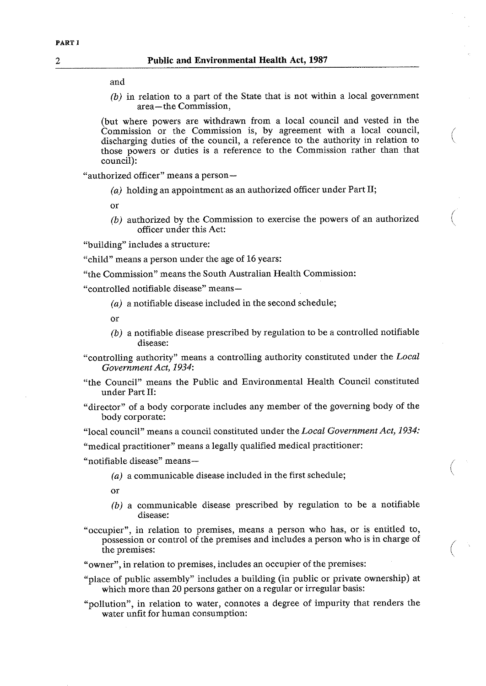and

*(b)* in relation to a part of the State that is not within a local government area-the Commission,

(but where powers are withdrawn from a local council and vested in the Commission or the Commission is, by agreement with a local council, discharging duties of the council, a reference to the authority in relation to those powers or duties is a reference to the Commission rather than that council):

"authorized officer" means a person-

*(a)* holding an appointment as an authorized officer under Part 11;

or

*(b)* authorized by the Commission to exercise the powers of an authorized officer under this Act:

"building" includes a structure:

"child" means a person under the age of 16 years:

"the Commission" means the South Australian Health Commission:

"controlled notifiable disease" means-

*(a)* a notifiable disease included in the second schedule;

or

- (b) a notifiable disease prescribed by regulation to be a controlled notifiable disease:
- "controlling authority" means a controlling authority constituted under the *Local Government Act, 1934:*
- "the Council" means the Public and Environmental Health Council constituted under Part II:
- "director" of a body corporate includes any member of the governing body of the body corporate:

"local council" means a council constituted under the *Local Government Act, 1934:* 

"medical practitioner" means a legally qualified medical practitioner:

"notifiable disease" means-

*(a)* a communicable disease included in the first schedule;

or

- *(b)* a communicable disease prescribed by regulation to be a notifiable disease:
- "occupier", in relation to premises, means a person who has, or is entitled to, possession or control of the premises and includes a person who is in charge of the premises:

"owner", in relation to premises, includes an occupier of the premises:

- "place of public assembly" includes a building (in public or private ownership) at which more than 20 persons gather on a regular or irregular basis:
- "pollution", in relation to water, connotes a degree of impurity that renders the water unfit for human consumption: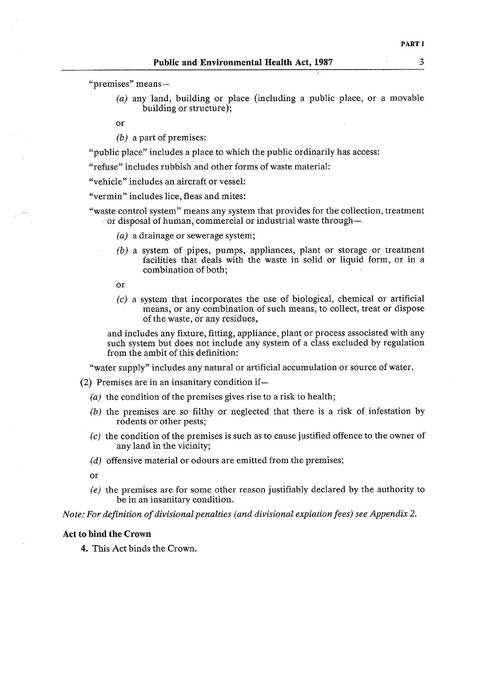"premises" means-

*(a)* any land, building or place (including a public place, or a movable building or structure);

or

*(b)* a part of premises:

"public place" includes a place to which the public ordinarily has access:

"refuse" includes rubbish and other forms of waste material:

"vehicle" includes an aircraft or vessel:

"vermin" includes lice, fleas and mites:

- "waste control system" means any system that provides for the collection, treatment or disposal of human, commercial or industrial waste through-
	- *(a)* a drainage or sewerage system;
	- *(b)* a system of pipes, pumps, appliances, plant or storage or treatment facilities that deals with the waste in solid or liquid form, or in a combination of both;
	- $\alpha$ r
	- $(c)$  a system that incorporates the use of biological, chemical or artificial means, or any combination of such means, to collect, treat or dispose of the waste, or any residues,

and includes any fixture, fitting, appliance, plant or process associated with any such system but does not include any system of a class excluded by regulation from the ambit of this definition:

"water supply" includes any natural or artificial accumulation or source of water.

- (2) Premises are in an insanitary condition if-
	- *(a)* the condition of the premises gives rise to a risk to health;
	- *(b)* the premises are so filthy or neglected that there is a risk of infestation by rodents or other pests;
	- (c) the condition of the premises is such as to cause justified offence to the owner of any land in the vicinity;
	- *(d)* offensive material or odours are emitted from the premises;
	- or
	- *(e)* the premises are for some other reason justifiably declared by the authority to be in an insanitary condition.

*Note: FOP definition of divisional penalties (and divisional expiation fees) see Appendix 2.* 

### **Act to bind the Crown**

4. This Act binds the Crown.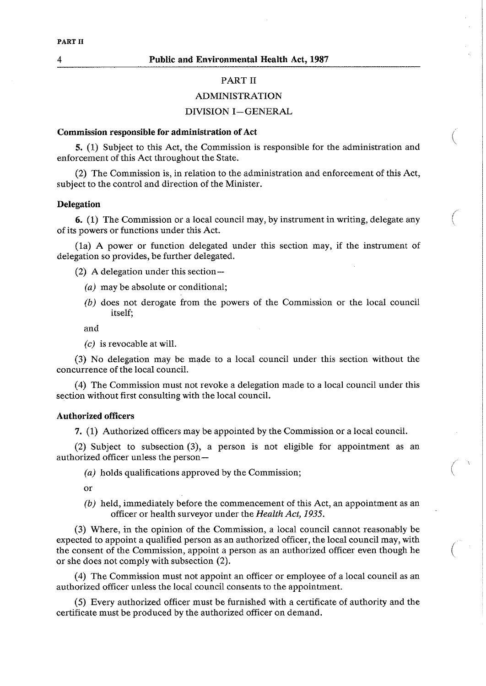### PART II

## ADMINISTRATION

## DIVISION I-GENERAL

### **Commission responsible for administration of Act**

5. (1) Subject to this Act, the Commission is responsible for the administration and enforcement of this Act throughout the State.

(2) The Commission is, in relation to the administration and enforcement of this Act, subject to the control and direction of the Minister.

## **Delegation**

*6.* (1) The Commission or a local council may, by instrument in writing, delegate any of its powers or functions under this Act.

(la) A power or function delegated under this section may, if the instrument of delegation so provides, be further delegated.

(2) A delegation under this section-

- *(a)* may be absolute or conditional;
- *(b)* does not derogate from the powers of the Commission or the local council itself;

and

*(c)* is revocable at will.

**(3)** No delegation may be made to a local council under this section without the concurrence of the local council.

(4) The Commission must not revoke a delegation made to a local council under this section without first consulting with the local council.

### **Authorized officers**

**7.** (1) Authorized officers may be appointed by the Commission or a local council.

(2) Subject to subsection (3), a person is not eligible for appointment as an authorized officer unless the person-

*(a)* holds qualifications approved by the Commission;

 $\alpha$ r

*(b)* held, immediately before the commencement of this Act, an appointment as an officer or health surveyor under the *Health Act, 1935.* 

(3) Where, in the opinion of the Commission, a local council cannot reasonably be expected to appoint a qualified person as an authorized officer, the local council may, with the consent of the Commission, appoint a person as an authorized officer even though he or she does not comply with subsection (2).

(4) The Commission must not appoint an officer or employee of a local council as an authorized officer unless the local council consents to the appointment.

(5) Every authorized officer must be furnished with a certificate of authority and the certificate must be produced by the authorized officer on demand.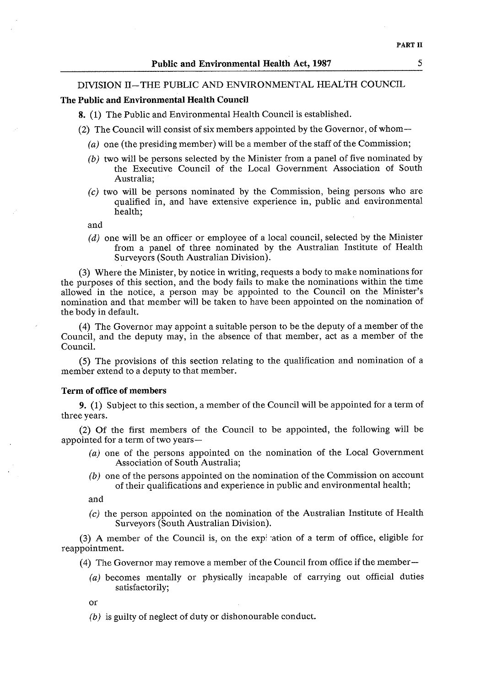DIVISION 11-THE PUBLIC AND ENVIRONMENTAL HEALTH COUNCIL

#### **The Public and Environmental Health Council**

**8. (1)** The Public and Environmental Health Council is established.

(2) The Council will consist of six members appointed by the Governor, of whom-

- *(a)* one (the presiding member) will be a member of the staff of the Commission;
- *(b)* two will be persons selected by the Minister from a panel of five nominated by the Executive Council of the Local Government Association of South Australia;
- *(c)* two will be persons nominated by the Commission, being persons who are qualified in, and have extensive experience in, public and environmental health;

and

(d) one will be an officer or employee of a local council, selected by the Minister from a panel of three nominated by the Australian Institute of Health Surveyors (South Australian Division).

**(3)** Where the Minister, by notice in writing, requests a body to make nominations for the purposes of this section, and the body fails to make the nominations within the time allowed in the notice, a person may be appointed to the Council on the Minister's nomination and that member will be taken to have been appointed on the nomination of the body in default.

(4) The Governor may appoint a suitable person to be the deputy of a member of the Council, and the deputy may, in the absence of that member, act as a member of the Council.

(5) The provisions of this section relating to the qualification and nomination of a member extend to a deputy to that member.

## **Term of office of members**

**9. (1)** Subject to this section, a member of the Council will be appointed for a term of three years.

(2) Of the first members of the Council to be appointed, the following will be appointed for a term of two years-

- *(a)* one of the persons appointed on the nomination of the Local Government Association of South Australia;
- *(b)* one of the persons appointed on the nomination of the Commission on account of their qualifications and experience in public and environmental health;

and

(c) the person appointed on the nomination of the Australian Institute of Health Surveyors (South Australian Division).

(3) A member of the Council is, on the expiration of a term of office, eligible for reappointment.

- (4) The Governor may remove a member of the Council from office if the member-
	- *(a)* becomes mentally or physically incapable of carrying out official duties satisfactorily;

or

*(b)* is guilty of neglect of duty or dishonourable conduct.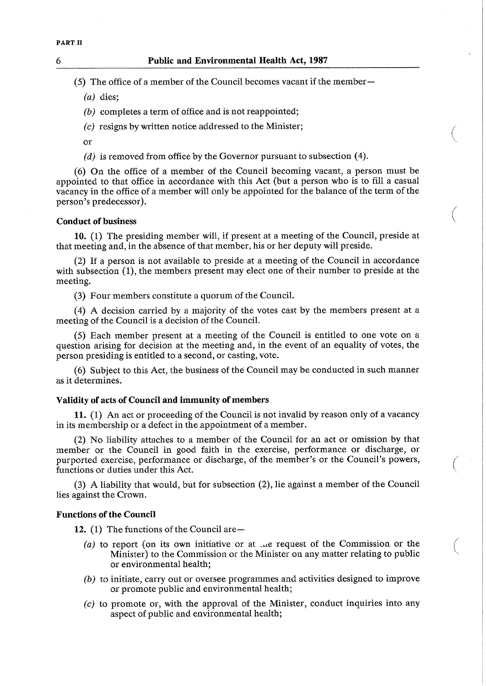(5) The office of a member of the Council becomes vacant if the member-

- *(a)* dies;
- *(b)* completes a term of office and is not reappointed;
- (c) resigns by written notice addressed to the Minister;
- or
- (d) is removed from office by the Governor pursuant to subsection (4).

(6) On the office of a member of the Council becoming vacant, a person must be appointed to that office in accordance with this Act (but a person who is to fill a casual vacancy in the office of a member will only be appointed for the balance of the term of the person's predecessor).

## **Conduct of business**

10. (1) The presiding member will, if present at a meeting of the Council, preside at that meeting and, in the absence of that member, his or her deputy will preside.

(2) If a person is not available to preside at a meeting of the Council in accordance with subsection (1), the members present may elect one of their number to preside at the meeting.

(3) Four members constitute a quorum of the Council.

(4) A decision carried by a majority of the votes cast by the members present at a meeting of the Council is a decision of the Council.

(5) Each member present at a meeting of the Council is entitled to one vote on a question arising for decision at the meeting and, in the event of an equality of votes, the person presiding is entitled to a second, or casting, vote.

(6) Subject to this Act, the business of the Council may be conducted in such manner as it determines.

#### **Validity of acts of Council and immunity of members**

11. (1) An act or proceeding of the Council is not invalid by reason only of a vacancy in its membership or a defect in the appointment of a member.

(2) No liability attaches to a member of the Council for an act or omission by that member or the Council in good faith in the exercise, performance or discharge, or purported exercise, performance or discharge, of the member's or the Council's powers, functions or duties under this Act.

(3) A liability that would, but for subsection (2), lie against a member of the Council lies against the Crown.

#### **Functions of the Council**

**12.** (1) The functions of the Council are-

- *(a)* to report (on its own initiative or at .,,e request of the Commission or the Minister) to the Commission or the Minister on any matter relating to public or environmental health;
- *(b)* to initiate, carry out or oversee programmes and activities designed to improve or promote public and environmental health;
- $(c)$  to promote or, with the approval of the Minister, conduct inquiries into any aspect of public and environmental health;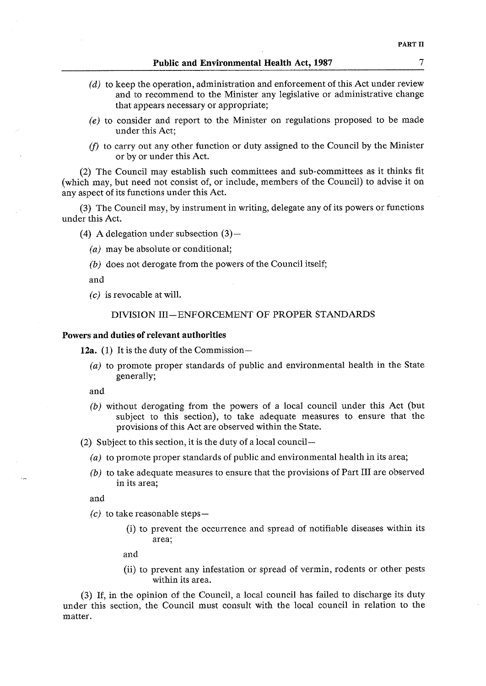## **Public and Environmental Health Act, 1987** 7

- (d) to keep the operation, administration and enforcement of this Act under review and to recommend to the Minister any legislative or administrative change that appears necessary or appropriate;
- *(e)* to consider and report to the Minister on regulations proposed to be made under this Act;
- (f) to carry out any other function or duty assigned to the Council by the Minister or by or under this Act.

(2) The Council may establish such committees and sub-committees as it thinks fit (which may, but need not consist of, or include, members of the Council) to advise it on any aspect of its functions under this Act.

(3) The Council may, by instrument in writing, delegate any of its powers or functions under this Act.

(4) A delegation under subsection **(3)-** 

- *(a)* may be absolute or conditional;
- *(b)* does not derogate from the powers of the Council itself;

and

(c) is revocable at will.

## DIVISION III-ENFORCEMENT OF PROPER STANDARDS

## **Powers and duties of relevant authorities**

**12a. (1)** It is the duty of the Commission-

*(a)* to promote proper standards of public and environmental health in the State generally;

and

- *(b)* without derogating from the powers of a local council under this Act (hut subject to this section), to take adequate measures to ensure that the provisions of this Act are observed within the State.
- (2) Subject to this section, it is the duty of a local council-
	- *(a)* to promote proper standards of public and environmental health in its area;
	- *(b)* to take adequate measures to ensure that the provisions of Part I11 are observed in its area;

and

- $(c)$  to take reasonable steps-
	- (i) to prevent the occurrence and spread of notifiable diseases within its area;

and

(ii) to prevent any infestation or spread of vermin, rodents or other pests within its area.

(3) If, in the opinion of the Council, a local council has failed to discharge its duty under this section, the Council must consult with the local council in relation to the matter.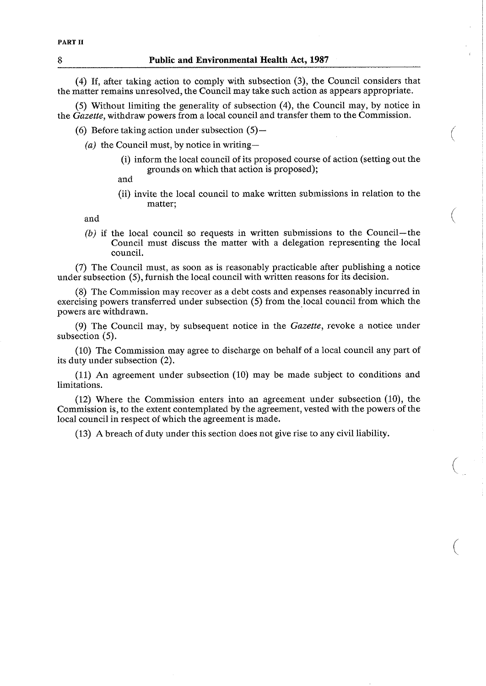8 **Public and Environmental Health Act. 1987** 

(4) If, after taking action to comply with subsection (3), the Council considers that the matter remains unresolved, the Council may take such action as appears appropriate.

(5) Without limiting the generality of subsection (4), the Council may, by notice in the *Gazette,* withdraw powers from a local council and transfer them to the Commission. (5) Without limiting the generality of subsection (4), the Council may, by notice in<br>
Gazette, withdraw powers from a local council and transfer them to the Commission.<br>
(6) Before taking action under subsection (5)-<br>
(a)

- $(a)$  the Council must, by notice in writing-
	- (i) inform the local council of its proposed course of action (setting out the grounds on which that action is proposed);
	- and
	- (ii) invite the local council to make written submissions in relation to the matter;

and  $\left($ 

 $(b)$  if the local council so requests in written submissions to the Council-the Council must discuss the matter with a delegation representing the local council.

(7) The Council must, as soon as is reasonably practicable after publishing a notice under subsection (5), furnish the local council with written reasons for its decision.

(8) The Commission may recover as a debt costs and expenses reasonably incurred in exercising powers transferred under subsection (5) from the local council from which the powers are withdrawn.

(9) The Council may, by subsequent notice in the *Gazette,* revoke a notice under subsection (5).

(10) The Commission may agree to discharge on behalf of a local council any part of its duty under subsection (2).

(11) An agreement under subsection (10) may be made subject to conditions and limitations.

 $(12)$  Where the Commission enters into an agreement under subsection  $(10)$ , the Commission is, to the extent contemplated by the agreement, vested with the powers of the local council in respect of which the agreement is made.

(13) A breach of duty under this section does not give rise to any civil liability.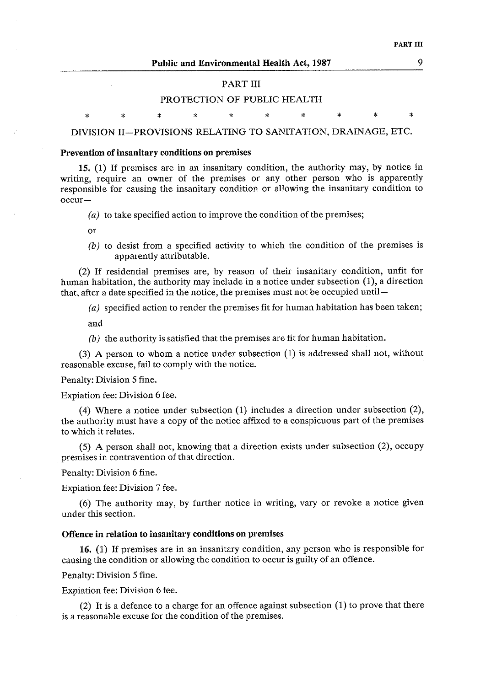#### PART III

#### PROTECTION OF PUBLIC HEALTH

.<br>N  $\mathbf{r}$  $\overline{\mathbf{x}}$  $\mathbf{u}$  $\Delta t$ sk Š. s.

## DIVISION 11-PROVISIONS RELATING TO SANITATION, DRAINAGE, ETC.

### Prevention of insanitary conditions on premises

15. (1) If premises are in an insanitary condition, the authority may, by notice in writing, require an owner of the premises or any other person who is apparently responsible for causing the insanitary condition or allowing the insanitary condition to occnr-

*(a)* to take specified action to improve the condition of the premises;

 $\alpha$ <sup>r</sup>

*(b)* to desist from a specified activity to which the condition of the premises is apparently attributable.

(2) If residential premises are, by reason of their insanitary condition, unfit for human habitation, the authority may include in a notice under subsection (I), a direction that, after a date specified in the notice, the premises must not be occupied until-

*(a)* specified action to render the premises fit for human habitation has been taken;

and

*(b)* the authority is satisfied that the premises are fit for human habitation.

**(3)** A person to whom a notice under subsection (I) is addressed shall not, without reasonable excuse, fail to comply with the notice.

Penalty: Division 5 fine.

Expiation fee: Division 6 fee.

(4) Where a notice under subsection (1) includes a direction under subsection (2), the authority must have a copy of the notice affixed to a conspicuous part of the premises to which it relates.

(5) A person shall not, knowing that a direction exists under subsection (2), occupy premises in contravention of that direction.

Penalty: Division 6 fine.

Expiation fee: Division 7 fee.

(6) The authority may, by further notice in writing, vary or revoke a notice given under this section.

### Offence in relation to insanitary conditions on premises

**16.** (1) If premises are in an insanitary condition, any person who is responsible for causing the condition or allowing the condition to occur is guilty of an offence.

Penalty: Division 5 fine.

Expiation fee: Division 6 fee.

(2) It is a defence to a charge for an offence against subsection (1) to prove that there is a reasonable excuse for the condition of the premises.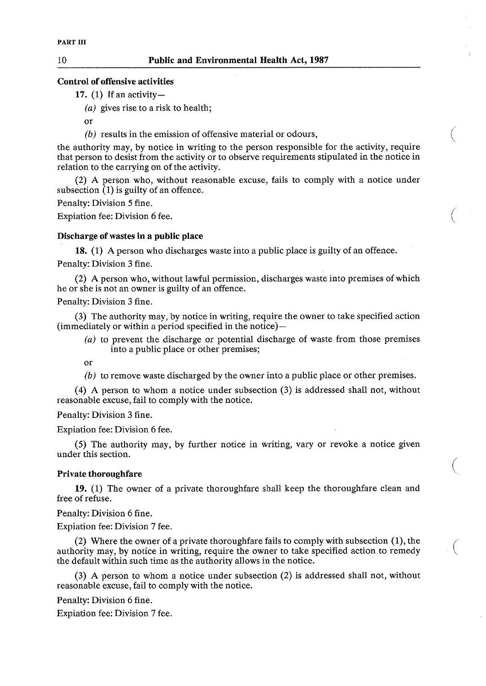### Control of offensive activities

**17.** (1) If an activity-

*(a)* gives rise to a risk to health;

or

*(b)* results in the emission of offensive material or odours,

the authority may, by notice in writing to the person responsible for the activity, require that person to desist from the activity or to observe requirements stipulated in the notice in relation to the carrying on of the activity.

(2) A person who, without reasonable excuse, fails to comply with a notice under subsection  $(1)$  is guilty of an offence.

Penalty: Division 5 fine.

Expiation fee: Division 6 fee.

## Discharge of wastes in a public place

**18.** (1) **A** person who discharges waste into a public place is guilty of an offence. Penalty: Division 3 fine.

(2) A person who, without lawful permission, discharges waste into premises of which he or she is not an owner is guilty of an offence.

Penalty: Division 3 fine.

(3) The authority may, by notice in writing, require the owner to take specified action (immediately or within a period specified in the notice)-

*(a)* to prevent the discharge or potential discharge of waste from those premises into a public place or other premises;

or

*(b)* to remove waste discharged by the owner into a public place or other premises.

(4) A person to whom a notice under subsection (3) is addressed shall not, without reasonable excuse, fail to comply with the notice.

Penalty: Division 3 fine.

Expiation fee: Division *6* fee.

(5) The authority may, by further notice in writing, vary or revoke a notice given under this section.

#### Private thoroughfare

**19.** (1) The owner of a private thoroughfare shall keep the thoroughfare clean and free of refuse.

Penalty: Division 6 fine.

Expiation fee: Division 7 fee.

(2) Where the owner of a private thoroughfare fails to comply with subsection (I), the authority may, by notice in writing, require the owner to take specified action to remedy the default within such time as the authority allows in the notice.

(3) A person to whom a notice under subsection (2) is addressed shall not, without reasonable excuse, fail to comply with the notice.

Penalty: Division 6 fine.

Expiation fee: Division 7 fee.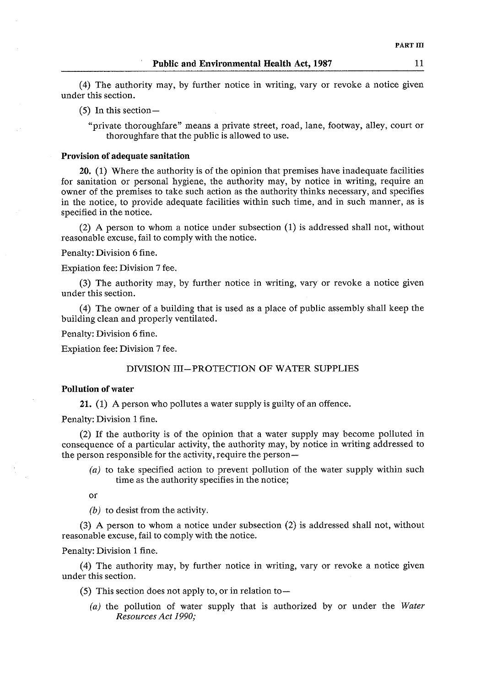#### **Public and Environmental Health Act, 1987** 11

(4) The authority may, by further notice in writing, vary or revoke a notice given under this section.

 $(5)$  In this section-

"private thoroughfare" means a private street, road, lane, footway, alley, court or thoroughfare that the public is allowed to use.

## **Provision of adequate sanitation**

**20.** (1) Where the authority is of the opinion that premises have inadequate facilities for sanitation or personal hygiene, the authority may, by notice in writing, require an owner of the premises to take such action as the authority thinks necessary, and specifies in the notice, to provide adequate facilities within such time, and in such manner, as is specified in the notice.

(2) A person to whom a notice under subsection (1) is addressed shall not, without reasonable excuse, fail to comply with the notice.

Penalty: Division 6 fine.

Expiation fee: Division 7 fee.

(3) The authority may, by further notice in writing, vary or revoke a notice given under this section.

(4) The owner of a building that is used as a place of public assembly shall keep the building clean and properly ventilated.

Penalty: Division 6 fine.

Expiation fee: Division 7 fee.

## DIVISION 111-PROTECTION OF WATER SUPPLIES

## **Pollution of water**

**21.** (1) A person who pollutes a water supply is guilty of an offence.

Penalty: Division 1 fine.

(2) If the authority is of the opinion that a water supply may become polluted in consequence of a particular activity, the authority may, by notice in writing addressed to the person responsible for the activity, require the person-

*(a)* to take specified action to prevent pollution of the water supply within such time as the authority specifies in the notice;

or

(b) to desist from the activity.

(3) A person to whom a notice under subsection (2) is addressed shall not, without reasonable excuse, fail to comply with the notice.

Penalty: Division 1 fine.

(4) The authority may, by further notice in writing, vary or revoke a notice given under this section.

- (5) This section does not apply to, or in relation to  $-$ 
	- *(a)* the pollution of water supply that is authorized by or under the *Water Resources Act 1990:*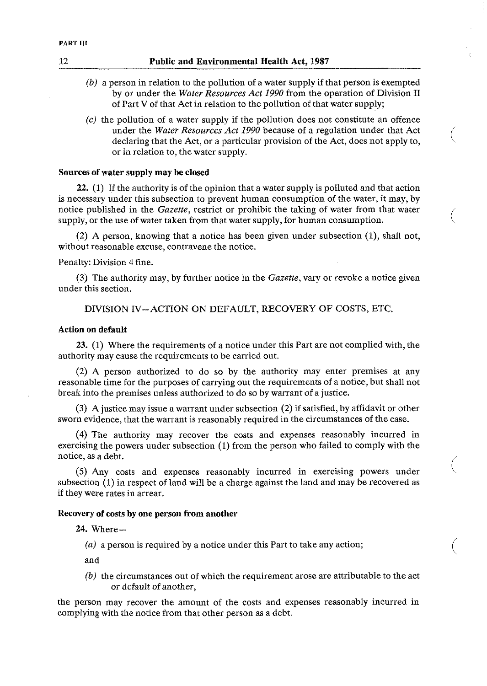- (b) a person in relation to the pollution of a water supply if that person is exempted by or under the *Water Resources Act 1990* from the operation of Division I1 of Part V of that Act in relation to the pollution of that water supply;
- *(c)* the pollution of a water supply if the pollution does not constitute an offence under the *Water Resources Act 1990* because of a regulation under that Act declaring that the Act, or a particular provision of the Act, does not apply to, or in relation to, the water supply.

## **Sources of water supply may be closed**

**22.** (1) If the authority is of the opinion that a water supply is polluted and that action is necessary under this subsection to prevent human consumption of the water, it may, by notice published in the *Gazette,* restrict or prohibit the taking of water from that water supply, or the use of water taken from that water supply, for human consumption.

(2) A person, knowing that a notice has been given under subsection (I), shall not, without reasonable excuse, contravene the notice.

Penalty: Division 4 fine.

(3) The authority may, by further notice in the *Gazette,* vary or revoke a notice given under this section.

DIVISION IV-ACTION ON DEFAULT, RECOVERY OF COSTS, ETC.

## **Action on default**

**23.** (1) Where the requirements of a notice under this Part are not complied with, the authority may cause the requirements to be carried out.

(2) A person authorized to do so by the authority may enter premises at any reasonable time for the purposes of carrying out the requirements of a notice, but shall not break into the premises unless authorized to do so by warrant of a justice.

(3) A justice may issue a warrant under subsection  $(2)$  if satisfied, by affidavit or other sworn evidence, that the warrant is reasonably required in the circumstances of the case.

(4) The authority may recover the costs and expenses reasonably incurred in exercising the powers under subsection (1) from the person who failed to comply with the notice, as a debt.

(5) Any costs and expenses reasonably incurred in exercising powers under subsection (1) in respect of land will be a charge against the land and may be recovered as if they were rates in arrear.

## **Recovery of costs by one person from another**

**24.** Where-

*(a)* a person is required by a notice under this Part to take any action;

and

*(b)* the circumstances out of which the requirement arose are attributable to the act or default of another,

the person may recover the amount of the costs and expenses reasonably incurred in complying with the notice from that other person as a debt.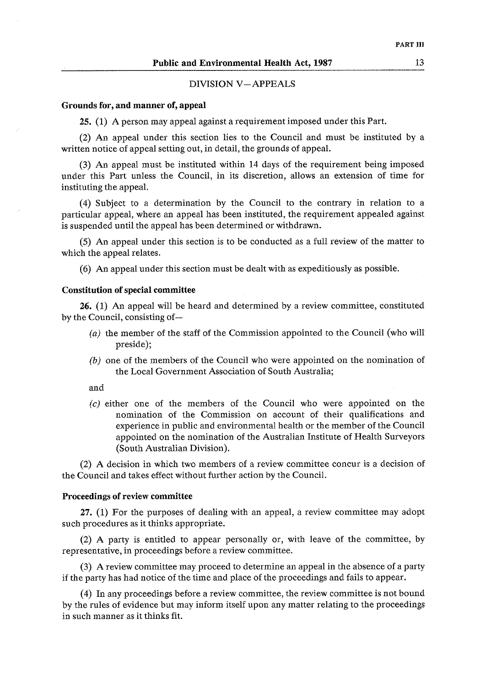## DIVISION V-APPEALS

#### **Grounds for, and manner of, appeal**

25. (1) A person may appeal against a requirement imposed under this Part.

(2) An appeal under this section lies to the Council and must be instituted by a written notice of appeal setting out, in detail, the grounds of appeal.

(3) An appeal must be instituted within 14 days of the requirement being imposed under this Part unless the Council, in its discretion, allows an extension of time for instituting the appeal.

(4) Subject to a determination by the Council to the contrary in relation to a particular appeal, where an appeal has been instituted, the requirement appealed against is suspended until the appeal has been determined or withdrawn.

(5) An appeal under this section is to be conducted as a full review of the matter to which the appeal relates.

(6) An appeal under this section must be dealt with as expeditiously as possible.

## **Constitution of special committee**

*26.* (1) An appeal will be heard and determined by a review committee, constituted by the Council, consisting of-

- (a) the member of the staff of the Commission appointed to the Council (who will preside);
- (b) one of the members of the Council who were appointed on the nomination of the Local Government Association of South Australia;

and

(c) either one of the members of the Council who were appointed on the nomination of the Commission on account of their qualifications and experience in public and environmental health or the member of the Council appointed on the nomination of the Australian Institute of Health Surveyors (South Australian Division).

(2) A decision in which two members of a review committee concur is a decision of the Council and takes effect without further action by the Council.

#### **Proceedings of review committee**

**27.** (1) For the purposes of dealing with an appeal, a review committee may adopt such procedures as it thinks appropriate.

(2) A party is entitled to appear personally or, with leave of the committee, by representative, in proceedings before a review committee.

**(3)** A review committee may proceed to determine an appeal in the absence of a party if the party has had notice of the time and place of the proceedings and fails to appear.

(4) In any proceedings before a review committee, the review committee is not bound by the rules of evidence but may inform itself upon any matter relating to the proceedings in such manner as it thinks fit.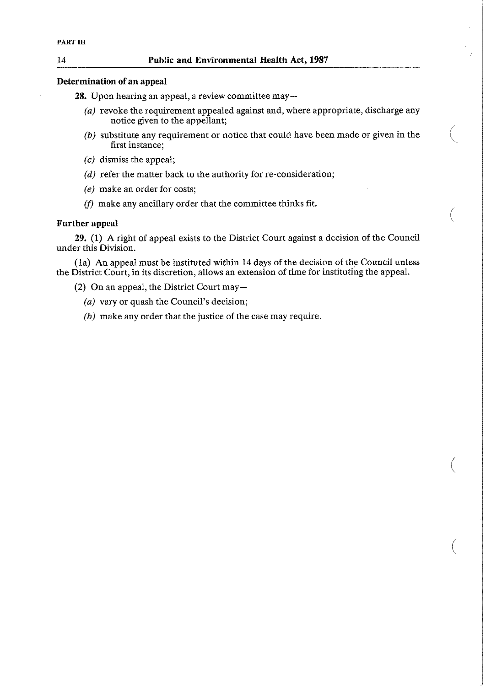# **Determination of an appeal**

**28.** Upon hearing an appeal, a review committee may-

- (a) revoke the requirement appealed against and, where appropriate, discharge any notice given to the appellant;
- (b) substitute any requirement or notice that could have been made or given in the first instance;
- *(c)* dismiss the appeal;
- $(d)$  refer the matter back to the authority for re-consideration;
- *(e)* make an order for costs;
- *If)* make any ancillary order that the committee thinks fit.

## **Further appeal**

**29.** (1) **A** right of appeal exists to the District Court against a decision of the Council under this Division.

(la) An appeal must be instituted within 14 days of the decision of the Council unless the District Court, in its discretion, allows an extension of time for instituting the appeal.

(2) On an appeal, the District Court may—

- (a) vary or quash the Council's decision;
- *(b)* make any order that the justice of the case may require.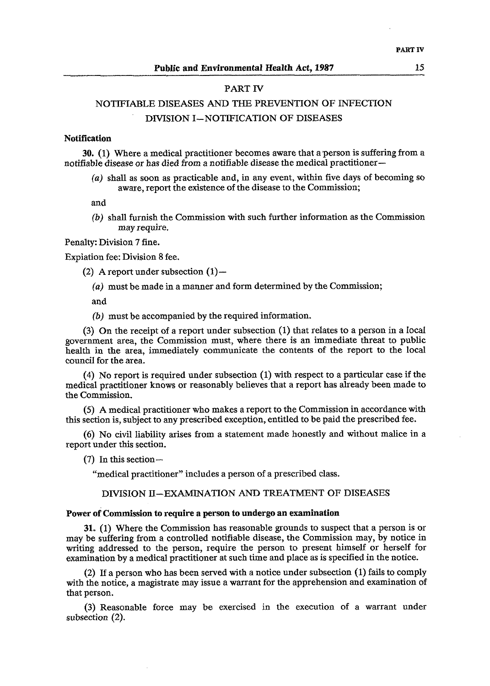## PART **IV**

# NOTIFIABLE DISEASES AND THE PREVENTION OF INFECTION DIVISION I-NOTIFICATION OF DISEASES

## **Notification**

30. (1) Where a medical practitioner becomes aware that a person is suffering from a notifiable disease or has died from a notifiable disease the medical practitioner-

(a) shall as soon as practicable and, in any event, within five days of becoming so aware, report the existence of the disease to the Commission;

and

*(b)* shall furnish the Commission with such further information as the Commission may require.

Penalty: Division **7** fine.

Expiation fee: Division 8 fee.

- (2) A report under subsection  $(1)$ -
	- (a) must be made in a manner and form determined by the Commission;

and

*(b)* must be accompanied by the required information.

**(3)** On the receipt of a report under subsection (1) that relates to a person in a local government area, the Commission must, where there is an immediate threat to public health in the area, immediately communicate the contents of the report to the local council for the area.

(4) No report is required under subsection (1) with respect to a particular case if the medical practitioner knows or reasonably believes that a report has already been made to the Commission.

(5) A medical practitioner who makes a report to the Commission in accordance with this section is, subject to any prescribed exception, entitled to be paid the prescribed fee.

*(6)* No civil liability arises from a statement made honestly and without malice in a report under this section.

**(7)** In this section-

"medical practitioner" includes a person of a prescribed class.

## DIVISION II-EXAMINATION AND TREATMENT OF DISEASES

## **Power of Commission to require a person to undergo an examination**

31. (1) Where the Commission has reasonable grounds to suspect that a person is or may be suffering from a controlled notifiable disease, the Commission may, by notice in writing addressed to the person, require the person to present himself or herself for examination by a medical practitioner at such time and place as is specified in the notice.

(2) If a person who has been served with a notice under subsection (1) fails to comply with the notice, a magistrate may issue a warrant for the apprehension and examination of that person.

**(3)** Reasonable force may be exercised in the execution of a warrant under subsection (2).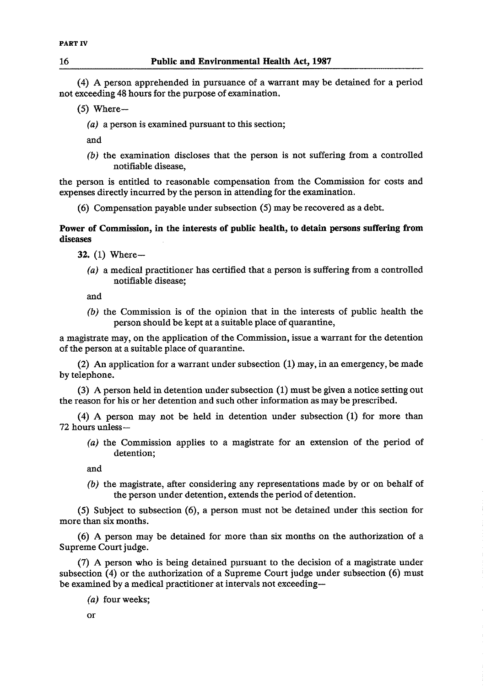## 16 **Public and Environmental Health Act, 1987**

(4) A person apprehended in pursuance of a warrant may be detained for a period not exceeding 48 hours for the purpose of examination.

- $(5)$  Where-
	- **(a)** a person is examined pursuant to this section;

and

**(b)** the examination discloses that the person is not suffering from a controlled notifiable disease,

the person is entitled to reasonable compensation from the Commission for costs and expenses directly incurred by the person in attending for the examination.

(6) Compensation payable under subsection (5) may be recovered as a debt.

# **Power of Commission, in the interests of public health, to detain persons suffering from diseases**

32. (1) Where-

**(a)** a medical practitioner has certified that a person is suffering from a controlled notifiable disease;

and

**(b)** the Commission is of the opinion that in the interests of public health the person should be kept at a suitable place of quarantine,

a magistrate may, on the application of the Commission, issue a warrant for the detention of the person at a suitable place of quarantine.

(2) **An** application for a warrant under subsection (1) may, in an emergency, be made by telephone.

**(3) A** person held in detention under subsection (1) must be given a notice setting out the reason for his or her detention and such other information as may be prescribed.

(4) **A** person may not be held in detention under subsection (1) for more than 72 hours unless-

(a) the Commission applies to a magistrate for an extension of the period of detention;

and

*(b)* the magistrate, after considering any representations made by or on behalf of the person under detention, extends the period of detention.

(5) Subject to subsection (6), a person must not be detained under this section for more than six months.

(6) A person may be detained for more than six months on the authorization of a Supreme Court judge.

(7) **A** person who is being detained pwsuant to the decision of a magistrate under subsection (4) or the authorization of a Supreme Court judge under subsection (6) must be examined by a medical practitioner at intervals not exceeding-

**(a)** four weeks;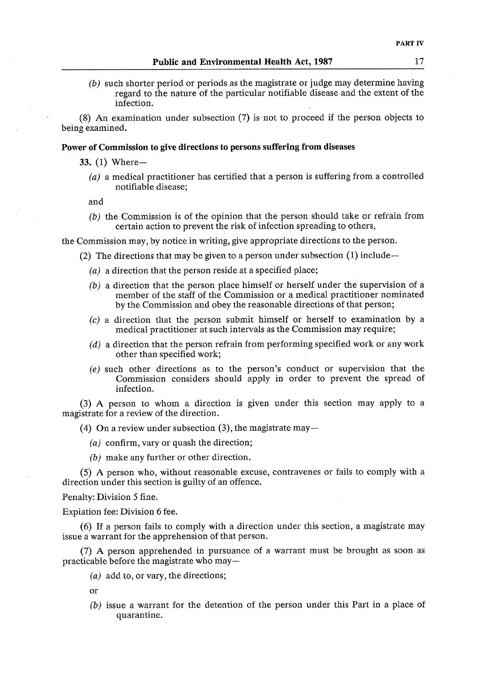*(b)* such shorter period or periods as the magistrate or judge may determine having regard to the nature of the particular notifiable disease and the extent of the infection.

(8) An examination under subsection (7) is not to proceed if the person objects to being examined.

### **Power of Commission to give directions to persons suffering from diseases**

**33.** (1) Where-

*(a)* a medical practitioner has certified that a person is suffering from a controlled notifiable disease;

and

*(b)* the Commission is of the opinion that the person should take or refrain from certain action to prevent the risk of infection spreading to others,

the Commission may, by notice in writing, give appropriate directions to the person.

(2) The directions that may be given to a person under subsection  $(1)$  include-

- *(a)* a direction that the person reside at a specified place;
- *(b)* a direction that the person place himself or herself under the supervision of a member of the staff of the Commission or a medical practitioner nominated by the Commission and obey the reasonable directions of that person;
- (c) a direction that the person submit himself or herself to examination by a medical practitioner at such intervals as the Commission may require;
- $(d)$  a direction that the person refrain from performing specified work or any work other than specified work;
- *(e)* such other directions as to the person's conduct or supervision that the Commission considers should apply in order to prevent the spread of infection.

**(3)** A person to whom a direction is given under this section may apply to a magistrate for a review of the direction.

(4) On a review under subsection **(3),** the magistrate may-

*(a)* confirm, vary or quash the direction;

*(b)* make any further or other direction.

(5) A person who, without reasonable excuse, contravenes or fails to comply with a direction under this section is guilty of an offence.

Penalty: Division 5 fine.

Expiation fee: Division 6 fee.

(6) If a person fails to comply with a direction under this section, a magistrate may issue a warrant for the apprehension of that person.

(7) A person apprehended in pursuance of a warrant must be brought as soon as practicable before the magistrate who may-

*(a)* add to, or vary, the directions;

or

*(b)* issue a warrant for the detention of the person under this Part in a place of quarantine.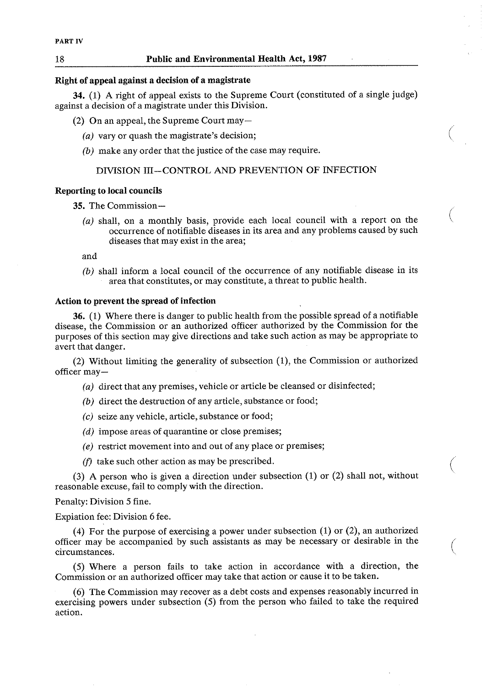### 18 Public and Environmental Health Act, 1987

#### Right of appeal against a decision of a magistrate

**34.** (1) A right of appeal exists to the Supreme Court (constituted of a single judge) against a decision of a magistrate under this Division.

(2) On an appeal, the Supreme Court may-

- (a) vary or quash the magistrate's decision;
- *(b)* make any order that the justice of the case may require.

# DIVISION 111-CONTROL AND PREVENTION OF INFECTION

### Reporting to local councils

35. The Commission-

*(a)* shall, on a monthly basis, provide each local council with a report on the occurrence of notifiable diseases in its area and any problems caused by such diseases that may exist in the area;

and

*(b)* shall inform a local council of the occurrence of any notifiable disease in its area that constitutes, or may constitute, a threat to public health.

## Action to prevent the spread of infection

*36.* (1) Where there is danger to public health from the possible spread of a notifiable disease, the Commission or an authorized officer authorized by the Commission for the purposes of this section may give directions and take such action as may be appropriate to avert that danger.

(2) Without limiting the generality of subsection (I), the Commission or authorized officer may-

- *(a)* direct that any premises, vehicle or article be cleansed or disinfected;
- *(b)* direct the destruction of any article, substance or food;
- (c) seize any vehicle, article, substance or food;
- $(d)$  impose areas of quarantine or close premises;
- *(e)* restrict movement into and out of any place or premises;
- (f) take such other action as may be prescribed.

**(3)** A person who is given a direction under subsection (1) or (2) shall not, without reasonable excuse, fail to comply with the direction.

Penalty: Division 5 fine.

Expiation fee: Division 6 fee.

(4) For the purpose of exercising a power under subsection (1) or (2), an authorized officer may be accompanied by such assistants as may be necessary or desirable in the circumstances.

(5) Where a person fails to take action in accordance with a direction, the Commission or an authorized officer may take that action or cause it to be taken.

(6) The Commission may recover as a debt costs and expenses reasonably incurred in exercising powers under subsection (5) from the person who failed to take the required action.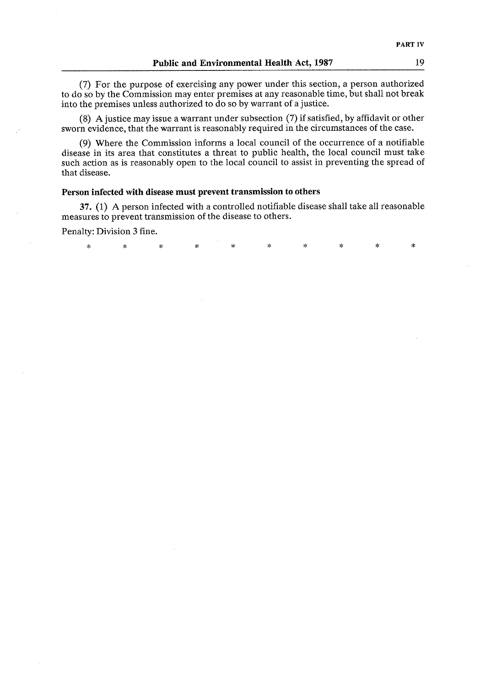(7) For the purpose of exercising any power under this section, a person authorized to do so by the Commission may enter premises at any reasonable time, but shall not break into the premises unless authorized to do so by warrant of a justice.

(8) A justice may issue a warrant under subsection (7) if satisfied, by affidavit or other sworn evidence, that the warrant is reasonably required in the circumstances of the case.

(9) Where the Commission informs a local council of the occurrence of a notifiable disease in its area that constitutes a threat to public health, the local council must take such action as is reasonably open to the local council to assist in preventing the spread of that disease.

## **Person infected with disease must prevent transmission to others**

**37.** (1) A person infected with a controlled notifiable disease shall take all reasonable measures to prevent transmission of the disease to others.

Penalty: Division **3** fine.

 $\star$  $\mathbf{x}$  $\star$  $\mathbf{x}$  $\mathbf{k}$  $\mathbf{R}$  $\dot{\mathbf{x}}$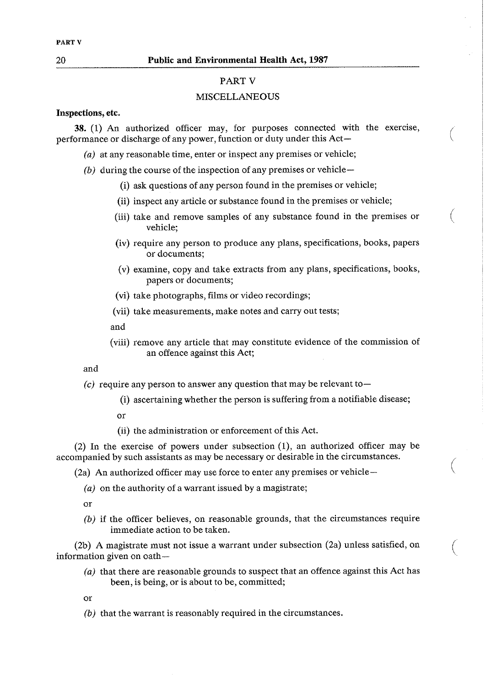## PART V

## MISCELLANEOUS

## **Inspections, etc.**

**38.** (1) An authorized officer may, for purposes connected with the exercise, performance or discharge of any power, function or duty under this Act-

(a) at any reasonable time, enter or inspect any premises or vehicle;

*(b)* during the course of the inspection of any premises or vehicle-

- (i) ask questions of any person found in the premises or vehicle;
- (ii) inspect any article or substance found in the premises or vehicle;
- (iii) take and remove samples of any substance found in the premises or vehicle; (
- (iv) require any person to produce any plans, specifications, books, papers or documents;
- (v) examine, copy and take extracts from any plans, specifications, books, papers or documents;
- (vi) take photographs, films or video recordings;
- (vii) take measurements, make notes and carry out tests;
- and
- (viii) remove any article that may constitute evidence of the commission of an offence against this Act;

and

 $(c)$  require any person to answer any question that may be relevant to-

- (i) ascertaining whether the person is suffering from a notifiable disease;
- or
- (ii) the administration or enforcement of this Act.

(2) In the exercise of powers under subsection (I), an authorized officer may be accompanied by such assistants as may be necessary or desirable in the circumstances.

(2a) An authorized officer may use force to enter any premises or vehicle- (

*(a)* on the authority of a warrant issued by a magistrate;

or

*(b)* if the officer believes, on reasonable grounds, that the circumstances require immediate action to be taken.

(2b) A magistrate must not issue a warrant under subsection (2a) unless satisfied, on information given on oath-

*(a)* that there are reasonable grounds to suspect that an offence against this Act has been, is being, or is about to be, committed;

or

*(b)* that the warrant is reasonably required in the circumstances.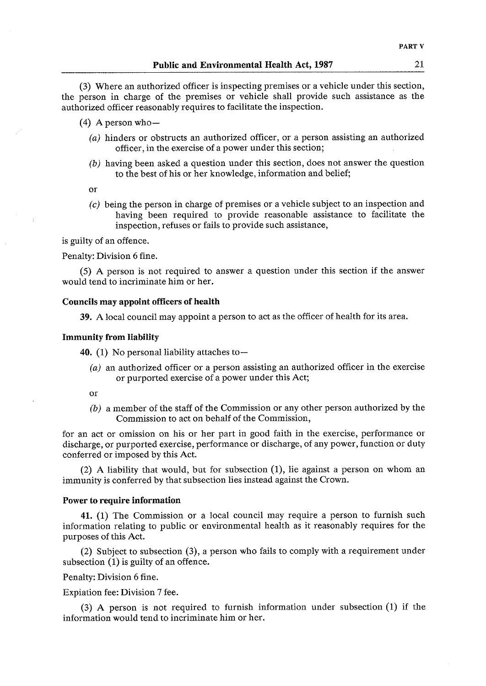## **Public and Environmental Health Act, 1987** 21

(3) Where an authorized officer is inspecting premises or a vehicle under this section, the person in charge of the premises or vehicle shall provide such assistance as the authorized officer reasonably requires to facilitate the inspection.

- $(4)$  A person who-
	- (a) hinders or obstructs an authorized officer, or a person assisting an authorized officer, in the exercise of a power under this section;
	- (b) having been asked a question under this section, does not answer the question to the best of his or her knowledge, information and belief;

or

(c) being the person in charge of premises or a vehicle subject to an inspection and having been required to provide reasonable assistance to facilitate the inspection, refuses or fails to provide such assistance,

is guilty of an offence.

## Penalty: Division 6 fine.

(5) A person is not required to answer a question under this section if the answer would tend to incriminate him or her.

## **Councils may appoint officers of health**

**39.** A local council may appoint a person to act as the officer of health for its area.

### **Immunity from liability**

**40.** (1) No personal liability attaches to-

(a) an authorized officer or a person assisting an authorized officer in the exercise or purported exercise of a power under this Act;

or

(b) a member of the staff of the Commission or any other person authorized by the Commission to act on behalf of the Commission,

for an act or omission on his or her part in good faith in the exercise, performance or discharge, or purported exercise, performance or discharge, of any power, function or duty conferred or imposed by this Act.

(2) A liability that would, but for subsection (I), lie against a person on whom an immunity is conferred by that subsection lies instead against the Crown.

## **Power to require information**

41. (1) The Commission or a local council may require a person to furnish such information relating to public or environmental health as it reasonably requires for the purposes of this Act.

(2) Subject to subsection (3), a person who fails to comply with a requirement under subsection (1) is guilty of an offence.

Penalty: Division 6 fine.

Expiation fee: Division 7 fee.

(3) A person is not required to furnish information under subsection (1) if the information would tend to incriminate him or her.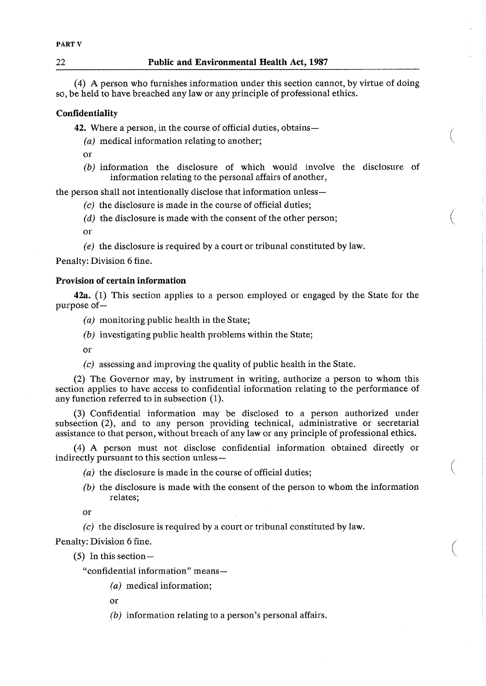22 **Public and Environmental Health Act. 1987** 

(4) A person who furnishes information under this section cannot, by virtue of doing so, be held to have breached any law or any principle of professional ethics.

## **Confidentiality**

**42.** Where a person, in the course of official duties, obtains-

*(a)* medical information relating to another;

or

*(b)* information the disclosure of which would involve the disclosure of information relating to the personal affairs of another,

the person shall not intentionally disclose that information unless-

- (c) the disclosure is made in the course of official duties;
- (d) the disclosure is made with the consent of the other person;

or

*(e)* the disclosure is required by a court or tribunal constituted by law.

Penalty: Division 6 fine.

## **Provision of certain information**

**42a. (1)** This section applies to a person employed or engaged by the State for the purpose of-

*(a)* monitoring public health in the State;

*(b)* investigating public health problems within the State;

or.

*(c)* assessing and improving the quality of public health in the State.

(2) The Governor may, by instrument in writing, authorize a person to whom this section applies to have access to confidential information relating to the perforniance of any function referred to in subsection (1).

**(3)** Confidential information may be disclosed to a person authorized under subsection (2), and to any person providing technical, administrative or secretarial assistance to that person, without breach of any law or any principle of professional ethics.

(4) A person must not disclose confidential information obtained directly or indirectly pursuant to this section unless-

- $(a)$  the disclosure is made in the course of official duties;
- *(b)* the disclosure is made with the consent of the person to whom the information relates;

or

*(c)* the disclosure is required by a court or tribunal constituted by law.

Penalty: Division 6 fine.

*(5)* In this section-

"confidential information" means-

*(a)* medical information;

or

*(b/* information relating to a person's personal affairs.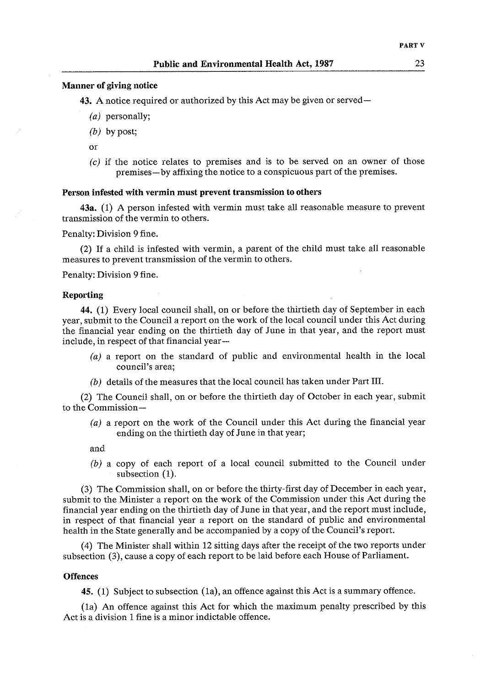## **Manner of giving notice**

**43.** A notice required or authorized by this Act may be given or served-

- *(a)* personally;
- $(b)$  by post;
- $\alpha$
- (c) if the notice relates to premises and is to be served on an owner of those premises-by affixing the notice to a conspicuous part of the premises.

## **Person infested with vermin must prevent transmission to others**

**43a.** (1) A person infested with vermin must take all reasonable measure to prevent transmission of the vermin to others.

Penalty: Division 9 fine.

(2) If a child is infested with vermin, a parent of the child must take all reasonable measures to prevent transmission of the vermin to others.

Penalty: Division 9 fine.

#### **Reporting**

**44.** (1) Every local council shall, on or before the thirtieth day of September in each year, submit to the Council a report on the work of the local council under this Act during the financial year ending on the thirtieth day of June in that year, and the report must include, in respect of that financial year-

- *(a)* a report on the standard of public and environmental health in the local council's area;
- *(b)* details of the measures that the local council has taken under Part 111.

(2) The Council shall, on or before the thirtieth day of October in each year, submit to the Commission-

(a) a report on the work of the Council under this Act during the financial year ending on the thirtieth day of June in that year;

and

(b) a copy of each report of a local council submitted to the Council under subsection (1).

(3) The Commission shall, on or before the thirty-first day of December in each year, submit to the Minister a report on the work of the Commission under this Act during the financial year ending on the thirtieth day of June in that year, and the report must include, in respect of that financial year a report on the standard of public and environmental health in the State generally and be accompanied by a copy of the Council's report.

(4) The Minister shall within 12 sitting days after the receipt of the two reports under subsection (3), cause a copy of each report to be laid before each House of Parliament.

## **Offences**

**45.** (1) Subject to subsection (la), an offence against this Act is a summary offence.

(la) An offence against this Act for which the maximum penalty prescribed by this Act is a division 1 fine is a minor indictable offence.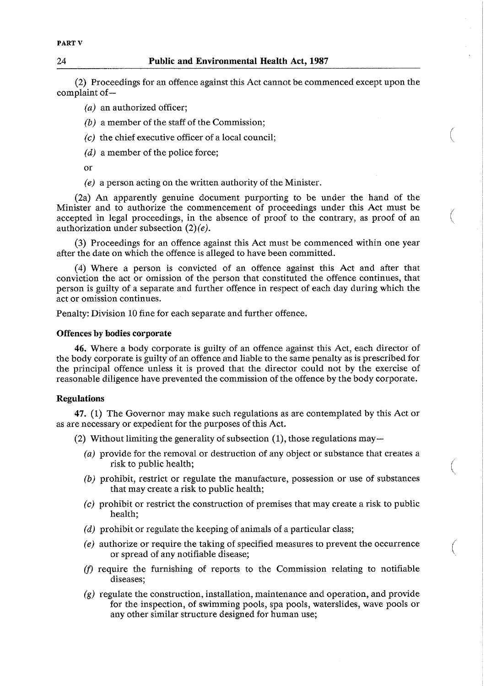(2) Proceedings for an offence against this Act cannot be commenced except upon the complaint of-

- (a) an authorized officer;
- (b) a member of the staff of the Commission;
- $(c)$  the chief executive officer of a local council;
- (d) a member of the police force;

or

(e) a person acting on the written authority of the Minister.

(2a) An apparently genuine document purporting to be under the hand of the Minister and to authorize the commencement of proceedings under this Act must be accepted in legal proceedings, in the absence of proof to the contrary, as proof of an authorization under subsection  $(2)(e)$ .

**(3)** Proceedings for an offence against this Act must be commenced within one year after the date on which the offence is alleged to have been committed.

(4) Where a person is convicted of an offence against this Act and after that conviction the act or omission of the person that constituted the offence continues, that person is guilty of a separate and further offence in respect of each day during which the act or omission continues.

Penalty: Division 10 fine for each separate and further offence.

#### **Offences by bodies corporate**

46. Where a body corporate is guilty of an offence against this Act, each director of the body corporate is guilty of an offence and liable to the same penalty as is prescribed for the principal offence unless it is proved that the director could not by the exercise of reasonable diligence have prevented the commission of the offence by the body corporate.

### **Regulations**

**47.** (1) The Governor may make such regulations as are contemplated by this Act or as are necessary or expedient for the purposes of this Act.

- (2) Without limiting the generality of subsection  $(1)$ , those regulations may—
	- (a) provide for the removal or destruction of any object or substance that creates a risk to public health; (

 $\overline{\phantom{0}}$ 

- (b) prohibit, restrict or regulate the manufacture, possession or use of substances that may create a risk to public health;
- (c) prohibit or restrict the construction of premises that may create a risk to public health;
- (d) prohibit or regulate the keeping of animals of a particular class;
- *(e)* authorize or require the taking of specified measures to prevent the occurrence or spread of any notifiable disease;
- *If)* require the furnishing of reports to the Commission relating to notifiable diseases;
- $(g)$  regulate the construction, installation, maintenance and operation, and provide for the inspection, of swimming pools, spa pools, waterslides, wave pools or any other similar structure designed for human use;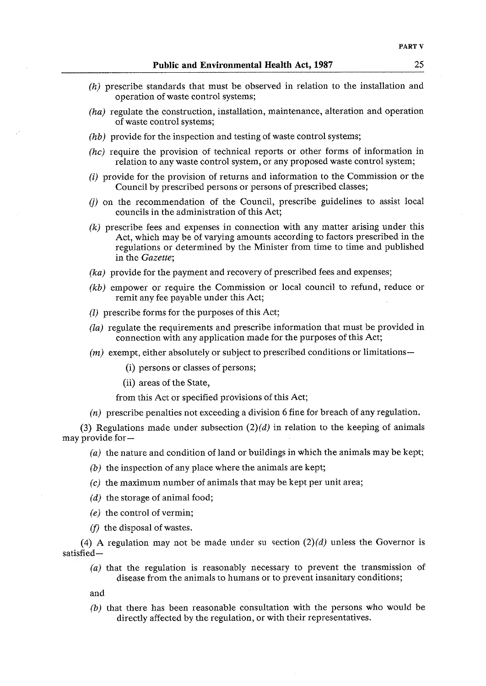## **Public and Environmental Health Act, 1987** 25

- (h) prescribe standards that must be observed in relation to the installation and operation of waste control systems;
- (ha) regulate the construction, installation, maintenance, alteration and operation of waste control systems;
- (hb) provide for the inspection and testing of waste control systems;
- (he) require the provision of technical reports or other forms of information in relation to any waste control system, or any proposed waste control system;
- $(i)$  provide for the provision of returns and information to the Commission or the Council by prescribed persons or persons of prescribed classes;
- $(i)$  on the recommendation of the Council, prescribe guidelines to assist local councils in the administration of this Act;
- $(k)$  prescribe fees and expenses in connection with any matter arising under this Act, which may be of varying amounts according to factors prescribed in the regulations or determined by the Minister from time to time and published in the Gazette;
- (ka) provide for the payment and recovery of prescribed fees and expenses;
- (kb) empower or require the Commission or local council to refund, reduce or remit any fee payable under this Act;
- *(I)* prescribe forms for the purposes of this Act;
- (la) regulate the requirements and prescribe information that must be provided in connection with any application made for the purposes of this Act;
- *(m)* exempt, either absolutely or subject to prescribed conditions or limitations-
	- (i) persons or classes of persons;
	- (ii) areas of the State,

from this Act or specified provisions of this Act;

(n) prescribe penalties not exceeding a division *6* fine for breach of any regulation.

(3) Regulations made under subsection  $(2)(d)$  in relation to the keeping of animals may provide for-

- $(a)$  the nature and condition of land or buildings in which the animals may be kept;
- (b) the inspection of any place where the animals are kept;
- (c) the maximum number of animals that may be kept per unit area;
- $(d)$  the storage of animal food;
- (e) the control of vermin;
- (f) the disposal of wastes.

(4) A regulation may not be made under su section  $(2)(d)$  unless the Governor is satisfied-

(a) that the regulation is reasonably necessary to prevent the transmission of disease from the animals to humans or to prevent insanitary conditions;

and

(b) that there has been reasonable consultation with the persons who would be directly affected by the regulation, or with their representatives.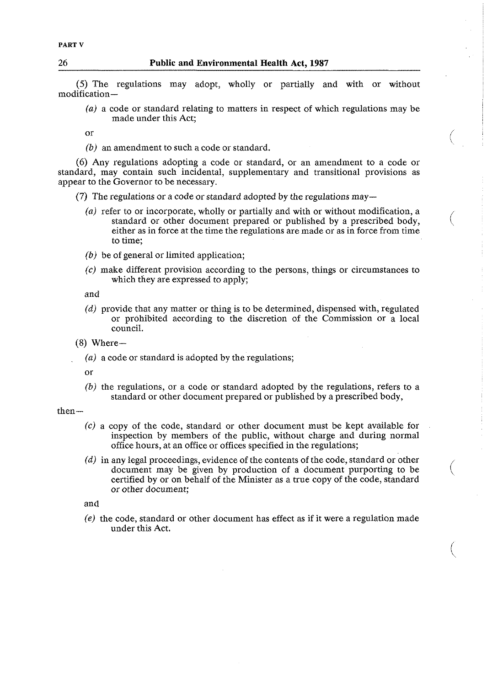#### 26 **Public and Environmental Health Act, 1987**

(5) The regulations may adopt, wholly or partially and with or without modification-

*(a)* a code or standard relating to matters in respect of which regulations may be made under this Act;

or

*(b)* an amendment to such a code or standard.

(6) Any regulations adopting a code or standard, or an amendment to a code or standard, may contain such incidental, supplementary and transitional provisions as appear to the Governor to be necessary.

- (7) The regulations or a code or standard adopted by the regulations may—
	- *(a)* refer to or incorporate, wholly or partially and with or without modification, a standard or other document prepared or published by a prescribed body, either as in force at the time the regulations are made or as in force from time to time;
	- *(b)* be of general or limited application;
	- (c) make different provision according to the persons, things or circumstances to which they are expressed to apply;

and

- (d) provide that any matter or thing is to be determined, dispensed with, regulated or prohibited according to the discretion of the Commission or a local council.
- $(8)$  Where--
	- *(a)* a code or standard is adopted by the regulations;

or

*(b)* the regulations, or a code or standard adopted by the regulations, refers to a standard or other document prepared or published by a prescribed body,

then-

- (c) a copy of the code, standard or other document must be kept available for inspection by members of the public, without charge and during normal office hours, at an office or offices specified in the regulations;
- (d) in any legal proceedings, evidence of the contents of the code, standard or other document may be given by production of a document purporting to be certified by or on behalf of the Minister as a true copy of the code, standard or other document;

and

*(e)* the code, standard or other document has effect as if it were a regulation made under this Act.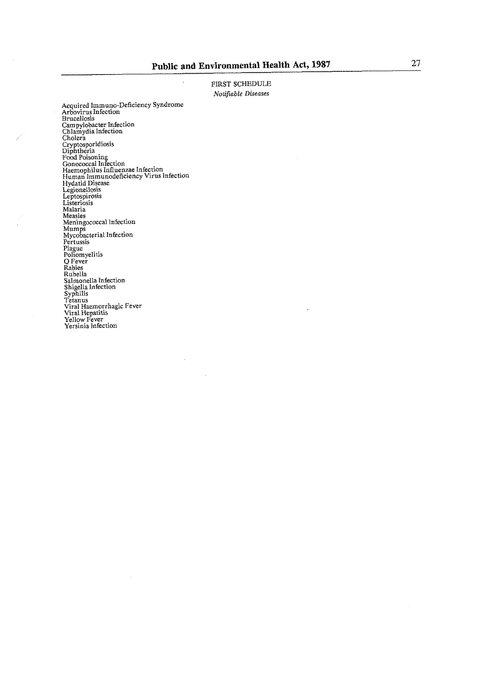## FIRST SCHEDULE Notifkble **Diseases**

l.

Acquired immuno-Deficiency Syndrome Arbovirus Infection Brucellosis Campylobacter lnfection Chlamydia Infection Cholera<br>Cryptosporidiosis Diphtheria<br>Food Poisoning<br>Gonococcal Infection<br>Haemophilus Influenzae Infection<br>Human Immunodeficiency Virus Infection Hydatid Disease Legioneilosis Leptospirosis Listeriosis Malaria Measles<br>Meningococcal Infection Mycobacterial Infection Pertussis Plague Pohomyelitis Q Fever<br>Rabies<br>Rubella<br>Salmonella Infection<br>Shigella Infection<br>Syphilis Tetanus Viral Haemorrhagic Fever Viral Hepatitis Yellow Fever Yersinia lnfection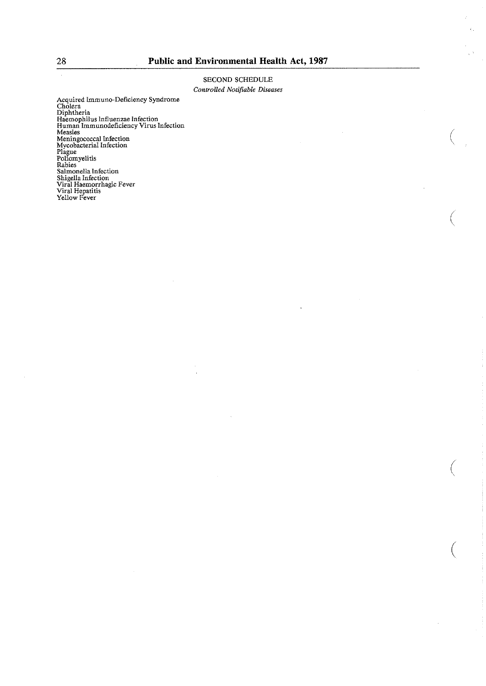## SECOND SCHEDULE **Controlled Notifiable Diseases**

Acquired Immuno-Deficiency Syndrome Cholera<br>Diphtheria Haemophilus Influenzae lnfection Human Immunodeficiency Virus Infection Measles<br>Meningococcal Infection<br>Mycobacterial Infection Plague Poliomyelitis Rabies Salmonella lnfection Shigella Infection Viral Haemorrhagic Fever Viral Hepatitis Yellow Fever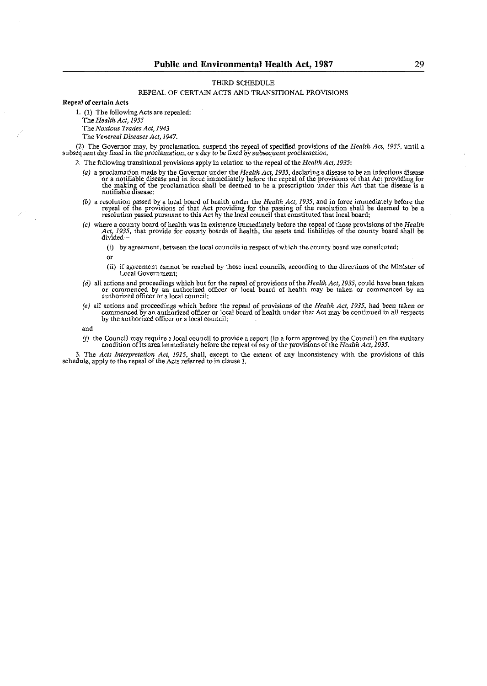#### THlRD SCHEDULE

#### REPEAL OF CERTAIN ACTS AND TRANSITIONAL PROVlSlONS

#### Repeal **of** certain Acts

1. (I) The following Actsare repealed:

- The Health Act, 1935
- The Noxious Trades Act, 1943
- The Venereal Diseases Act, 1947.

(2) The Governor may, by proclamation, suspend the repeal of specified provisions of the Health Act, 1935, until a subsequent day fixed in the proclamation, or a day to be tixed by subsequent proclamation.

2. The following transitional provisions apply in relation to the repeal of the Health Act, 1935:

- (a) a proclamation made by the Governor under the *Health Act*, 1935, declaring a disease to be an infectious disease or a notifiable disease and in force immediately before the repeal of the provisions of that Act provid notifiable disease;
- *(b)* a resolution passed by a local board of health under the Health Act, 1935, and in force immediately before the repeal of the provisions of that Act providing for the passing of the resolution shall be deemed to be a resolution passed pursuant to this Act by the local council that constituted that local board;
- (c) where a county board of health was in existence immediately before the repeal of those provisions of the *Health*  $Act, 1935$ , that provide for county boards of health, the assets and liabilities of the county board sha divided-
	- $(i)$  by agreement, between the local councils in respect of which the county board was constituted;

or

- (ii) if agreement cannot he reached by those local councils, according to the directions of the Minister of Local Government;
- (d) all actions and proceedings which but for the repeal of provisions of the *Health Act*, 1935, could have been taken or commenced by an authorized officer or local board of health may be taken or commenced by an author
- (e) all actions and proceedings which before the repeal of provisions of the *Health Act*, 1935, had been taken or commenced by an authorized officer or local board of health under that Act may be continued in all respect

and

 $\chi^{(2)}$ 

(f) the Council may require a local council to provide a report (in a form approved by the Council) on the sanitary condition of its area immediately before the repeal of any of the provisions of the *Health Act, 1935*.

3. The Acts Interpretation Act, 1915, shall, except to the extent of any inconsistency with the provisions of this schedule, apply to the repeal of the Acts referred to in clause 1.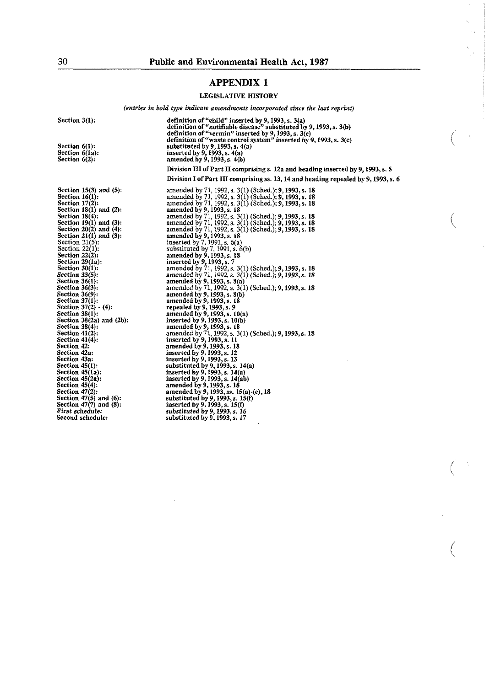## **APPENDIX 1**

#### LEGISLATIVE HISTORY

*(entries in bold type indicate amendments incorporated since the last reprint)* 

Section 3(1): Section 6(1): Section 6(la): Section 6(2): Section 15(3) and (5): Section 16(1): Section  $17(2)$ : Section  $18(1)$  and  $(2)$ : Section 18(4):<br>Section 19(1) and (3):<br>Section 20(2) and (4): Section 21(1) and (3):<br>Section 21(5):<br>Section 22(1): Section 29(1a):<br>Section 30(1): Section 33(5): Section 36(1): Section  $36(3)$ : Section 36(9):<br>Section 37(1):<br>Section 37(2) - (4):<br>Section 2(4) Section  $38(1)$ : Section  $38(2a)$  and  $(2b)$ : Section 38(4): Section 41(2): Section 41(4): Section 42: Section 42a: Section 43a: Section 45(1): Section 45(la): Section 45(2a):  $Section 45(4):$ Section 47(2): Section 47(5) and (6): Section 47(7) and (8): First schedule: Second schedule: definition of "child" inserted by 9,1993,s. 3(a) definition of "notifiable disease" substituted by 9,1993, s. 3(b) definition of "vermin" inserted by 9,1993, s. 3(e) definition of "waste control system" inserted by 9, 1993, s. 3(c) substituted by 9,1993, s. 4(a) inserted by 9,1993, s. 4(a) amended by 9,1993,s. 4(b) Division III of Part II comprising s. 12a and heading inserted by 9, 1993, s. 5 Division I of Part III comprising ss. 13, 14 and heading repealed by 9, 1993, s. 6 amended by 71,1992, **s.** 3 amended by 71, 1992, s. 3<br>
amended by 71, 1992, s. 3<br>
amended by 9, 1993, s. 18 amended by 71, 1992, s. 3(<br>amended by 71, 1992, s. 3(<br>amended by 9, 1993, s. 18<br>amended by 9, 1993, s. 18 inserted by 7, 1991, s. 6(a)<br>amended by 9, 1999, s. 18<br>amended by 9, 1993, s. 18<br>inserted by 9, 1993, s. 7<br>amended by 71, 1992, s. 3(1) (Sched.); 9, 1993, s. 18 amended by 71, 1992, s. 3(1) (Sched.); 9, 1993, s. 18<br>amended by 9, 1993, s. 8(a)<br>amended by 71, 1992, s. 3(1) (Sched.); 9, 1993, s. 18<br>amended by 9, 1993, s. 8(b)<br>repealed by 9, 1993, s. 9 amended by 9, 1993, s. 10(a)<br>inserted by 9, 1993, s. 10(b)<br>amended by 9, 1993, s. 18 amended by 71,1992, s. 3(1) (Sched.); 9,1993, s. 18 inserted by 9,1993,s. 11 amended by 9,1993,s. 18 inserted by 9,1993,s. 12 inserted by 9,1993,s. 13 substituted by 9,1993,s. 14(a) inserted by 9, 1993, s. 14(a)<br>inserted by 9, 1993, s. 14(ab)<br>amended by 9, 1993, s. 18<br>amended by 9, 1993, ss. 15(a)-(e), 18<br>substituted by 9, 1993, s. 15(f)<br>inserted by 9, 1993, s. 15(f)<br>substituted by 9, 1993, s. 16<br>subs